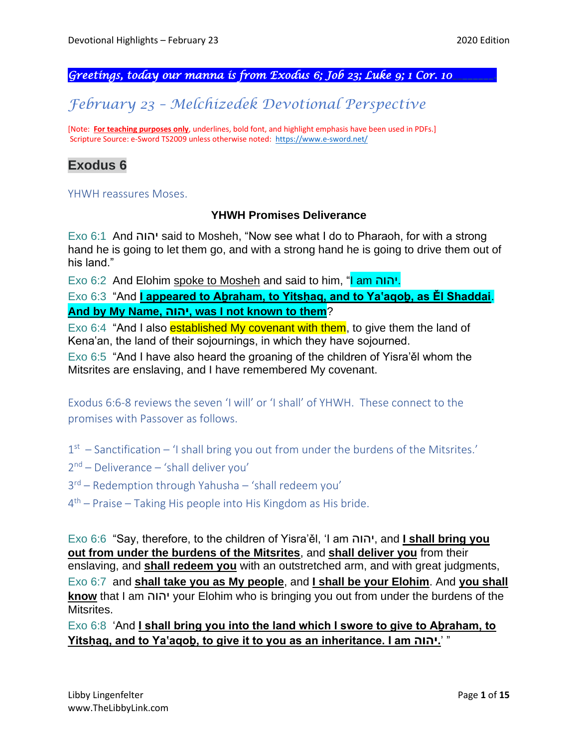*Greetings, today our manna is from Exodus 6; Job 23; Luke 9; 1 Cor. 10\_\_\_\_\_\_\_\_.* 

# *February 23 – Melchizedek Devotional Perspective*

[Note: **For teaching purposes only**, underlines, bold font, and highlight emphasis have been used in PDFs.] Scripture Source: e-Sword TS2009 unless otherwise noted: <https://www.e-sword.net/>

## **Exodus 6**

YHWH reassures Moses.

#### **YHWH Promises Deliverance**

Exo 6:1 And יהוה said to Mosheh, "Now see what I do to Pharaoh, for with a strong hand he is going to let them go, and with a strong hand he is going to drive them out of his land."

Exo 6:2 And Elohim spoke to Mosheh and said to him, "I am יהוה.

Exo 6:3 "And **I appeared to Aḇraham, to Yitsḥaq, and to Ya'aqoḇ, as Ěl Shaddai**. **And by My Name, יהוה, was I not known to them**?

Exo 6:4 "And I also **established My covenant with them**, to give them the land of Kena'an, the land of their sojournings, in which they have sojourned.

Exo 6:5 "And I have also heard the groaning of the children of Yisra'ěl whom the Mitsrites are enslaving, and I have remembered My covenant.

Exodus 6:6-8 reviews the seven 'I will' or 'I shall' of YHWH. These connect to the promises with Passover as follows.

 $1<sup>st</sup>$  – Sanctification – 'I shall bring you out from under the burdens of the Mitsrites.'

2 nd – Deliverance – 'shall deliver you'

3 rd – Redemption through Yahusha – 'shall redeem you'

4 th – Praise – Taking His people into His Kingdom as His bride.

Exo 6:6 "Say, therefore, to the children of Yisra'ěl, 'I am יהוה, and **I shall bring you out from under the burdens of the Mitsrites**, and **shall deliver you** from their enslaving, and **shall redeem you** with an outstretched arm, and with great judgments, Exo 6:7 and **shall take you as My people**, and **I shall be your Elohim**. And **you shall know** that I am יהוה your Elohim who is bringing you out from under the burdens of the Mitsrites.

Exo 6:8 'And **I shall bring you into the land which I swore to give to Aḇraham, to Yitsḥaq, and to Ya'aqoḇ, to give it to you as an inheritance. I am יהוה.**" '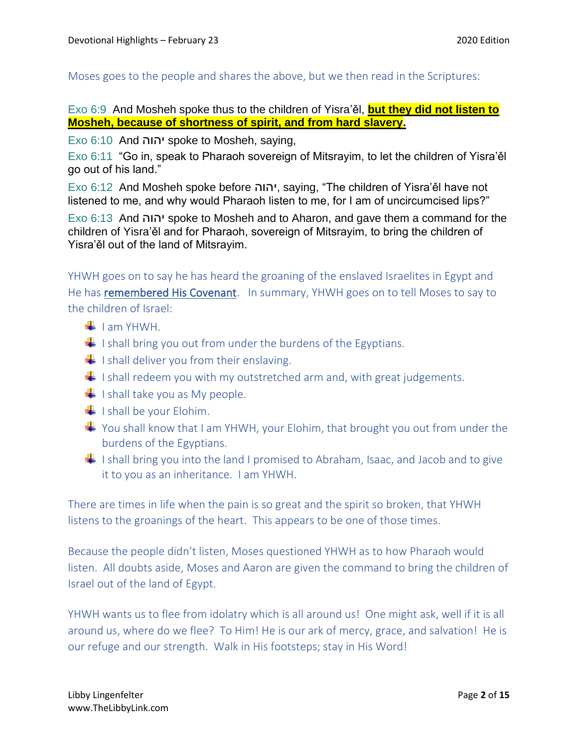Moses goes to the people and shares the above, but we then read in the Scriptures:

## Exo 6:9 And Mosheh spoke thus to the children of Yisra'ěl, **but they did not listen to Mosheh, because of shortness of spirit, and from hard slavery.**

Exo 6:10 And יהוה spoke to Mosheh, saying,

Exo 6:11 "Go in, speak to Pharaoh sovereign of Mitsrayim, to let the children of Yisra'ěl go out of his land."

Exo 6:12 And Mosheh spoke before יהוה, saying, "The children of Yisra'ěl have not listened to me, and why would Pharaoh listen to me, for I am of uncircumcised lips?"

Exo 6:13 And יהוה spoke to Mosheh and to Aharon, and gave them a command for the children of Yisra'ěl and for Pharaoh, sovereign of Mitsrayim, to bring the children of Yisra'ěl out of the land of Mitsrayim.

YHWH goes on to say he has heard the groaning of the enslaved Israelites in Egypt and He has remembered His Covenant. In summary, YHWH goes on to tell Moses to say to the children of Israel:

- $\blacksquare$  I am YHWH.
- $\downarrow$  I shall bring you out from under the burdens of the Egyptians.
- $\frac{1}{1}$  I shall deliver you from their enslaving.
- $\downarrow$  I shall redeem you with my outstretched arm and, with great judgements.
- $\frac{1}{\sqrt{1}}$  I shall take you as My people.
- $\frac{1}{1}$  I shall be your Elohim.
- $\ddot{+}$  You shall know that I am YHWH, your Elohim, that brought you out from under the burdens of the Egyptians.
- I shall bring you into the land I promised to Abraham, Isaac, and Jacob and to give it to you as an inheritance. I am YHWH.

There are times in life when the pain is so great and the spirit so broken, that YHWH listens to the groanings of the heart. This appears to be one of those times.

Because the people didn't listen, Moses questioned YHWH as to how Pharaoh would listen. All doubts aside, Moses and Aaron are given the command to bring the children of Israel out of the land of Egypt.

YHWH wants us to flee from idolatry which is all around us! One might ask, well if it is all around us, where do we flee? To Him! He is our ark of mercy, grace, and salvation! He is our refuge and our strength. Walk in His footsteps; stay in His Word!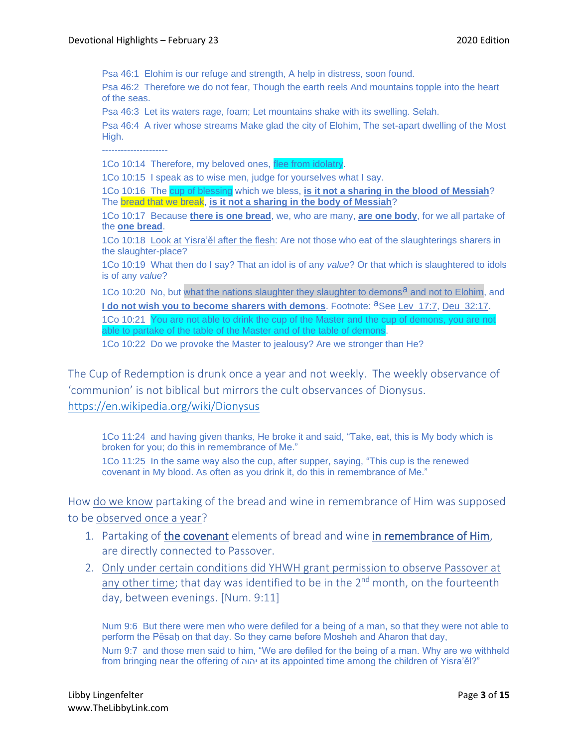Psa 46:1 Elohim is our refuge and strength, A help in distress, soon found.

Psa 46:2 Therefore we do not fear, Though the earth reels And mountains topple into the heart of the seas.

Psa 46:3 Let its waters rage, foam; Let mountains shake with its swelling. Selah.

Psa 46:4 A river whose streams Make glad the city of Elohim, The set-apart dwelling of the Most High.

---------------------

1Co 10:14 Therefore, my beloved ones, flee from idolatry

1Co 10:15 I speak as to wise men, judge for yourselves what I say.

1Co 10:16 The cup of blessing which we bless, **is it not a sharing in the blood of Messiah**? The bread that we break, **is it not a sharing in the body of Messiah**?

1Co 10:17 Because **there is one bread**, we, who are many, **are one body**, for we all partake of the **one bread**.

1Co 10:18 Look at Yisra'ěl after the flesh: Are not those who eat of the slaughterings sharers in the slaughter-place?

1Co 10:19 What then do I say? That an idol is of any *value*? Or that which is slaughtered to idols is of any *value*?

1Co 10:20 No, but what the nations slaughter they slaughter to demons<sup>a</sup> and not to Elohim, and **I do not wish you to become sharers with demons**. Footnote: <sup>a</sup>See Lev\_17:7, Deu\_32:17. 1Co 10:21 You are not able to drink the cup of the Master and the cup of demons, you are not able to partake of the table of the Master and of the table of demons.

1Co 10:22 Do we provoke the Master to jealousy? Are we stronger than He?

The Cup of Redemption is drunk once a year and not weekly. The weekly observance of 'communion' is not biblical but mirrors the cult observances of Dionysus. <https://en.wikipedia.org/wiki/Dionysus>

1Co 11:24 and having given thanks, He broke it and said, "Take, eat, this is My body which is broken for you; do this in remembrance of Me."

1Co 11:25 In the same way also the cup, after supper, saying, "This cup is the renewed covenant in My blood. As often as you drink it, do this in remembrance of Me."

How do we know partaking of the bread and wine in remembrance of Him was supposed to be observed once a year?

- 1. Partaking of the covenant elements of bread and wine in remembrance of Him, are directly connected to Passover.
- 2. Only under certain conditions did YHWH grant permission to observe Passover at any other time; that day was identified to be in the  $2<sup>nd</sup>$  month, on the fourteenth day, between evenings. [Num. 9:11]

Num 9:6 But there were men who were defiled for a being of a man, so that they were not able to perform the Pěsah on that day. So they came before Mosheh and Aharon that day, Num 9:7 and those men said to him, "We are defiled for the being of a man. Why are we withheld from bringing near the offering of יהוה at its appointed time among the children of Yisra'ěl?"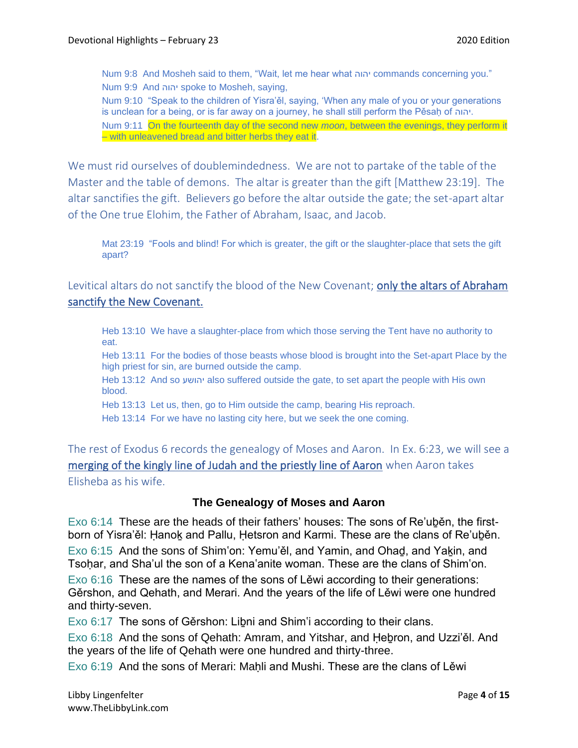Num 9:8 And Mosheh said to them, "Wait, let me hear what יהוה commands concerning you." Num 9:9 And יהוה spoke to Mosheh, saying,

Num 9:10 "Speak to the children of Yisra'ěl, saying, 'When any male of you or your generations is unclean for a being, or is far away on a journey, he shall still perform the Pěsah of יהוה.

Num 9:11 On the fourteenth day of the second new *moon*, between the evenings, they perform it – with unleavened bread and bitter herbs they eat it.

We must rid ourselves of doublemindedness. We are not to partake of the table of the Master and the table of demons. The altar is greater than the gift [Matthew 23:19]. The altar sanctifies the gift. Believers go before the altar outside the gate; the set-apart altar of the One true Elohim, the Father of Abraham, Isaac, and Jacob.

Mat 23:19 "Fools and blind! For which is greater, the gift or the slaughter-place that sets the gift apart?

Levitical altars do not sanctify the blood of the New Covenant; only the altars of Abraham sanctify the New Covenant.

Heb 13:10 We have a slaughter-place from which those serving the Tent have no authority to eat.

Heb 13:11 For the bodies of those beasts whose blood is brought into the Set-apart Place by the high priest for sin, are burned outside the camp.

Heb 13:12 And so יהושע also suffered outside the gate, to set apart the people with His own blood.

Heb 13:13 Let us, then, go to Him outside the camp, bearing His reproach.

Heb 13:14 For we have no lasting city here, but we seek the one coming.

The rest of Exodus 6 records the genealogy of Moses and Aaron. In Ex. 6:23, we will see a merging of the kingly line of Judah and the priestly line of Aaron when Aaron takes Elisheba as his wife.

#### **The Genealogy of Moses and Aaron**

Exo 6:14 These are the heads of their fathers' houses: The sons of Re'uběn, the firstborn of Yisra'ěl: Hanok and Pallu, Hetsron and Karmi. These are the clans of Re'uběn. Exo 6:15 And the sons of Shim'on: Yemu'ěl, and Yamin, and Ohad, and Yakin, and Tsoḥar, and Sha'ul the son of a Kena'anite woman. These are the clans of Shim'on.

Exo 6:16 These are the names of the sons of Lěwi according to their generations: Gěrshon, and Qehath, and Merari. And the years of the life of Lěwi were one hundred and thirty-seven.

Exo 6:17 The sons of Gěrshon: Liḇni and Shim'i according to their clans.

Exo 6:18 And the sons of Qehath: Amram, and Yitshar, and Ḥeḇron, and Uzzi'ěl. And the years of the life of Qehath were one hundred and thirty-three.

Exo 6:19 And the sons of Merari: Mahli and Mushi. These are the clans of Lěwi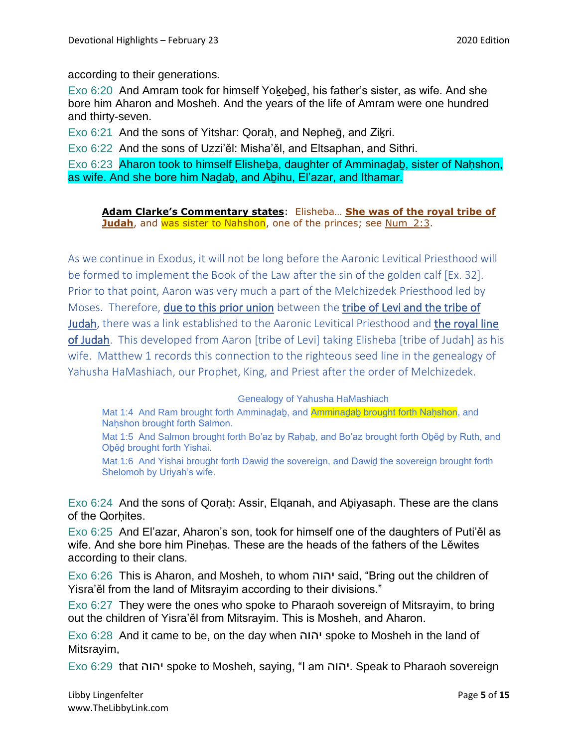according to their generations.

Exo 6:20 And Amram took for himself Yoḵeḇeḏ, his father's sister, as wife. And she bore him Aharon and Mosheh. And the years of the life of Amram were one hundred and thirty-seven.

Exo 6:21 And the sons of Yitshar: Qoraḥ, and Nepheḡ, and Ziḵri.

Exo 6:22 And the sons of Uzzi'ěl: Misha'ěl, and Eltsaphan, and Sithri.

Exo 6:23 Aharon took to himself Elisheba, daughter of Amminadab, sister of Nahshon, as wife. And she bore him Naḏaḇ, and Aḇihu, El'azar, and Ithamar.

**Adam Clarke's Commentary states**: Elisheba… **She was of the royal tribe of Judah**, and was sister to Nahshon, one of the princes; see Num\_2:3.

As we continue in Exodus, it will not be long before the Aaronic Levitical Priesthood will be formed to implement the Book of the Law after the sin of the golden calf [Ex. 32]. Prior to that point, Aaron was very much a part of the Melchizedek Priesthood led by Moses. Therefore, due to this prior union between the tribe of Levi and the tribe of Judah, there was a link established to the Aaronic Levitical Priesthood and the royal line of Judah. This developed from Aaron [tribe of Levi] taking Elisheba [tribe of Judah] as his wife. Matthew 1 records this connection to the righteous seed line in the genealogy of Yahusha HaMashiach, our Prophet, King, and Priest after the order of Melchizedek.

Genealogy of Yahusha HaMashiach

Mat 1:4 And Ram brought forth Amminadab, and Amminadab brought forth Naḥshon, and Naḥshon brought forth Salmon.

Mat 1:5 And Salmon brought forth Bo'az by Raḥaḇ, and Bo'az brought forth Oḇěḏ by Ruth, and Oḇěḏ brought forth Yishai.

Mat 1:6 And Yishai brought forth Dawid the sovereign, and Dawid the sovereign brought forth Shelomoh by Uriyah's wife.

Exo 6:24 And the sons of Qoraḥ: Assir, Elqanah, and Aḇiyasaph. These are the clans of the Qorhites.

Exo 6:25 And El'azar, Aharon's son, took for himself one of the daughters of Puti'ěl as wife. And she bore him Pinehas. These are the heads of the fathers of the Lěwites according to their clans.

Exo 6:26 This is Aharon, and Mosheh, to whom יהוה said, "Bring out the children of Yisra'ěl from the land of Mitsrayim according to their divisions."

Exo 6:27 They were the ones who spoke to Pharaoh sovereign of Mitsrayim, to bring out the children of Yisra'ěl from Mitsrayim. This is Mosheh, and Aharon.

Exo 6:28 And it came to be, on the day when יהוה spoke to Mosheh in the land of Mitsrayim,

Exo 6:29 that יהוה spoke to Mosheh, saying, "I am יהוה. Speak to Pharaoh sovereign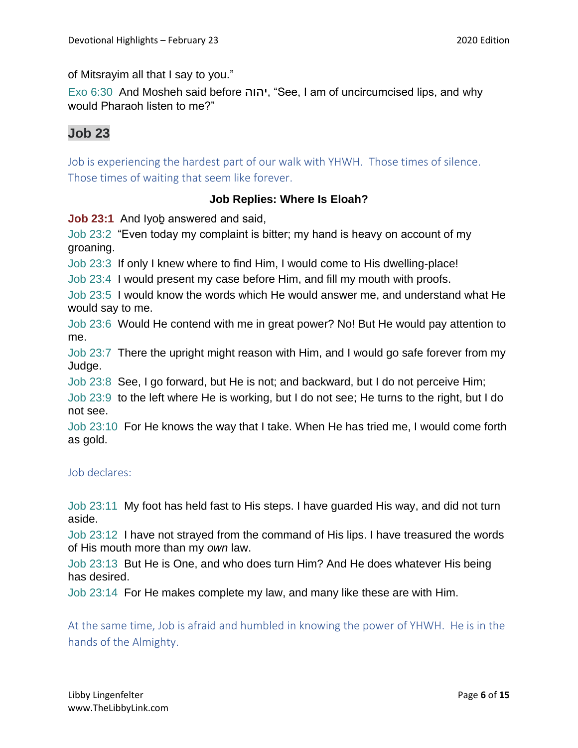of Mitsrayim all that I say to you."

Exo 6:30 And Mosheh said before יהוה," See, I am of uncircumcised lips, and why would Pharaoh listen to me?"

## **Job 23**

Job is experiencing the hardest part of our walk with YHWH. Those times of silence. Those times of waiting that seem like forever.

## **Job Replies: Where Is Eloah?**

**Job 23:1** And Iyob answered and said,

Job 23:2 "Even today my complaint is bitter; my hand is heavy on account of my groaning.

Job 23:3 If only I knew where to find Him, I would come to His dwelling-place!

Job 23:4 I would present my case before Him, and fill my mouth with proofs.

Job 23:5 I would know the words which He would answer me, and understand what He would say to me.

Job 23:6 Would He contend with me in great power? No! But He would pay attention to me.

Job 23:7 There the upright might reason with Him, and I would go safe forever from my Judge.

Job 23:8 See, I go forward, but He is not; and backward, but I do not perceive Him;

Job 23:9 to the left where He is working, but I do not see; He turns to the right, but I do not see.

Job 23:10 For He knows the way that I take. When He has tried me, I would come forth as gold.

### Job declares:

Job 23:11 My foot has held fast to His steps. I have guarded His way, and did not turn aside.

Job 23:12 I have not strayed from the command of His lips. I have treasured the words of His mouth more than my *own* law.

Job 23:13 But He is One, and who does turn Him? And He does whatever His being has desired.

Job 23:14 For He makes complete my law, and many like these are with Him.

At the same time, Job is afraid and humbled in knowing the power of YHWH. He is in the hands of the Almighty.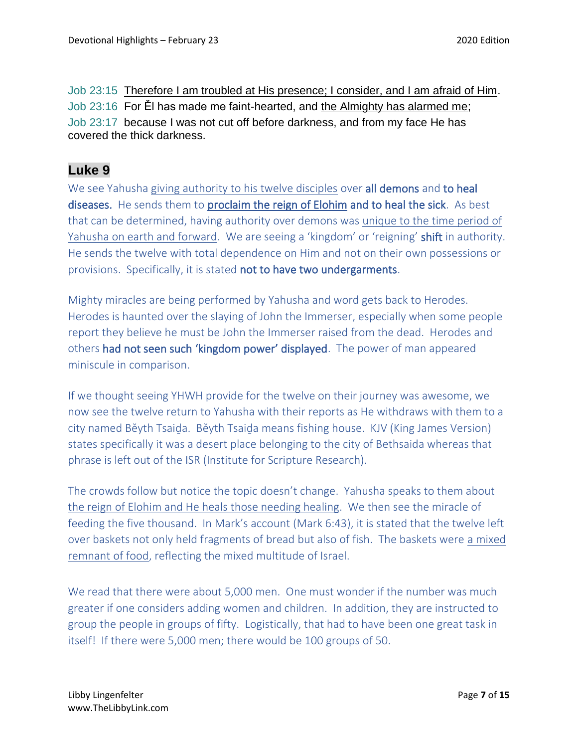Job 23:15 Therefore I am troubled at His presence; I consider, and I am afraid of Him. Job 23:16 For Ěl has made me faint-hearted, and the Almighty has alarmed me; Job 23:17 because I was not cut off before darkness, and from my face He has covered the thick darkness.

## **Luke 9**

We see Yahusha giving authority to his twelve disciples over all demons and to heal diseases. He sends them to proclaim the reign of Elohim and to heal the sick. As best that can be determined, having authority over demons was unique to the time period of Yahusha on earth and forward. We are seeing a 'kingdom' or 'reigning' shift in authority. He sends the twelve with total dependence on Him and not on their own possessions or provisions. Specifically, it is stated not to have two undergarments.

Mighty miracles are being performed by Yahusha and word gets back to Herodes. Herodes is haunted over the slaying of John the Immerser, especially when some people report they believe he must be John the Immerser raised from the dead. Herodes and others had not seen such 'kingdom power' displayed. The power of man appeared miniscule in comparison.

If we thought seeing YHWH provide for the twelve on their journey was awesome, we now see the twelve return to Yahusha with their reports as He withdraws with them to a city named Běyth Tsaiḏa. Běyth Tsaiḏa means fishing house. KJV (King James Version) states specifically it was a desert place belonging to the city of Bethsaida whereas that phrase is left out of the ISR (Institute for Scripture Research).

The crowds follow but notice the topic doesn't change. Yahusha speaks to them about the reign of Elohim and He heals those needing healing. We then see the miracle of feeding the five thousand. In Mark's account (Mark 6:43), it is stated that the twelve left over baskets not only held fragments of bread but also of fish. The baskets were a mixed remnant of food, reflecting the mixed multitude of Israel.

We read that there were about 5,000 men. One must wonder if the number was much greater if one considers adding women and children. In addition, they are instructed to group the people in groups of fifty. Logistically, that had to have been one great task in itself! If there were 5,000 men; there would be 100 groups of 50.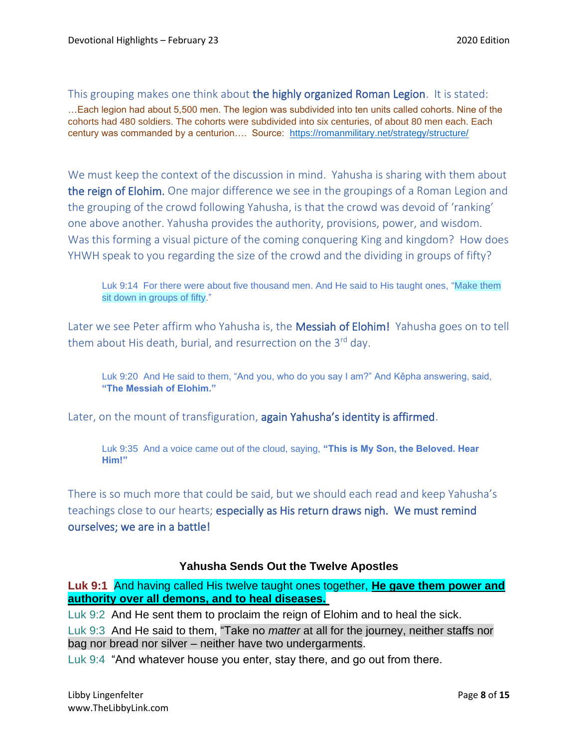This grouping makes one think about the highly organized Roman Legion. It is stated:

…Each legion had about 5,500 men. The legion was subdivided into ten units called cohorts. Nine of the cohorts had 480 soldiers. The cohorts were subdivided into six centuries, of about 80 men each. Each century was commanded by a centurion…. Source: <https://romanmilitary.net/strategy/structure/>

We must keep the context of the discussion in mind. Yahusha is sharing with them about the reign of Elohim. One major difference we see in the groupings of a Roman Legion and the grouping of the crowd following Yahusha, is that the crowd was devoid of 'ranking' one above another. Yahusha provides the authority, provisions, power, and wisdom. Was this forming a visual picture of the coming conquering King and kingdom? How does YHWH speak to you regarding the size of the crowd and the dividing in groups of fifty?

Luk 9:14 For there were about five thousand men. And He said to His taught ones, "Make them sit down in groups of fifty."

Later we see Peter affirm who Yahusha is, the Messiah of Elohim! Yahusha goes on to tell them about His death, burial, and resurrection on the  $3<sup>rd</sup>$  day.

Luk 9:20 And He said to them, "And you, who do you say I am?" And Kěpha answering, said, **"The Messiah of Elohim."**

Later, on the mount of transfiguration, again Yahusha's identity is affirmed.

Luk 9:35 And a voice came out of the cloud, saying, **"This is My Son, the Beloved. Hear Him!"**

There is so much more that could be said, but we should each read and keep Yahusha's teachings close to our hearts; especially as His return draws nigh. We must remind ourselves; we are in a battle!

#### **Yahusha Sends Out the Twelve Apostles**

**Luk 9:1** And having called His twelve taught ones together, **He gave them power and authority over all demons, and to heal diseases.**

Luk 9:2 And He sent them to proclaim the reign of Elohim and to heal the sick.

Luk 9:3 And He said to them, "Take no *matter* at all for the journey, neither staffs nor bag nor bread nor silver – neither have two undergarments.

Luk 9:4 "And whatever house you enter, stay there, and go out from there.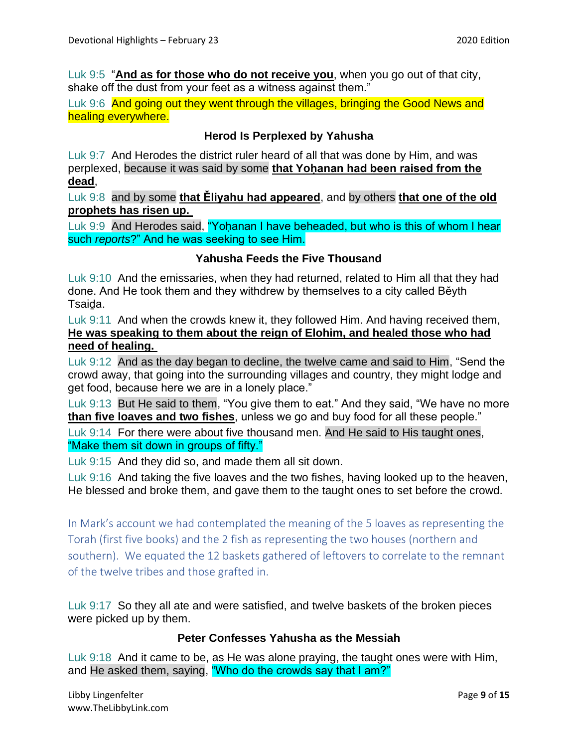Luk 9:5 "**And as for those who do not receive you**, when you go out of that city, shake off the dust from your feet as a witness against them."

Luk 9:6 And going out they went through the villages, bringing the Good News and healing everywhere.

## **Herod Is Perplexed by Yahusha**

Luk 9:7 And Herodes the district ruler heard of all that was done by Him, and was perplexed, because it was said by some **that Yohanan had been raised from the dead**,

Luk 9:8 and by some **that Ěliyahu had appeared**, and by others **that one of the old prophets has risen up.**

Luk 9:9 And Herodes said, "Yohanan I have beheaded, but who is this of whom I hear such *reports*?" And he was seeking to see Him.

### **Yahusha Feeds the Five Thousand**

Luk 9:10 And the emissaries, when they had returned, related to Him all that they had done. And He took them and they withdrew by themselves to a city called Běyth Tsaiḏa.

Luk 9:11 And when the crowds knew it, they followed Him. And having received them, **He was speaking to them about the reign of Elohim, and healed those who had need of healing.**

Luk 9:12 And as the day began to decline, the twelve came and said to Him, "Send the crowd away, that going into the surrounding villages and country, they might lodge and get food, because here we are in a lonely place."

Luk 9:13 But He said to them, "You give them to eat." And they said, "We have no more **than five loaves and two fishes**, unless we go and buy food for all these people."

Luk 9:14 For there were about five thousand men. And He said to His taught ones, "Make them sit down in groups of fifty."

Luk 9:15 And they did so, and made them all sit down.

Luk 9:16 And taking the five loaves and the two fishes, having looked up to the heaven, He blessed and broke them, and gave them to the taught ones to set before the crowd.

In Mark's account we had contemplated the meaning of the 5 loaves as representing the Torah (first five books) and the 2 fish as representing the two houses (northern and southern). We equated the 12 baskets gathered of leftovers to correlate to the remnant of the twelve tribes and those grafted in.

Luk 9:17 So they all ate and were satisfied, and twelve baskets of the broken pieces were picked up by them.

#### **Peter Confesses Yahusha as the Messiah**

Luk 9:18 And it came to be, as He was alone praying, the taught ones were with Him, and He asked them, saying, "Who do the crowds say that I am?"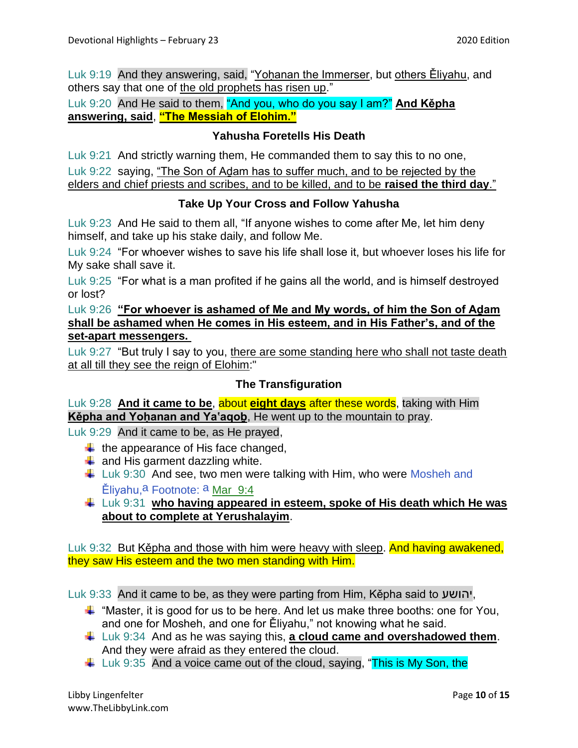Luk 9:19 And they answering, said, "Yoḥanan the Immerser, but others Ěliyahu, and others say that one of the old prophets has risen up."

Luk 9:20 And He said to them, "And you, who do you say I am?" **And Kěpha answering, said**, **"The Messiah of Elohim."**

## **Yahusha Foretells His Death**

Luk 9:21 And strictly warning them, He commanded them to say this to no one, Luk 9:22 saying, "The Son of Adam has to suffer much, and to be rejected by the elders and chief priests and scribes, and to be killed, and to be **raised the third day**."

### **Take Up Your Cross and Follow Yahusha**

Luk 9:23 And He said to them all, "If anyone wishes to come after Me, let him deny himself, and take up his stake daily, and follow Me.

Luk 9:24 "For whoever wishes to save his life shall lose it, but whoever loses his life for My sake shall save it.

Luk 9:25 "For what is a man profited if he gains all the world, and is himself destroyed or lost?

Luk 9:26 **"For whoever is ashamed of Me and My words, of him the Son of Aḏam shall be ashamed when He comes in His esteem, and in His Father's, and of the set-apart messengers.**

Luk 9:27 "But truly I say to you, there are some standing here who shall not taste death at all till they see the reign of Elohim:"

### **The Transfiguration**

Luk 9:28 **And it came to be**, about **eight days** after these words, taking with Him **Kěpha and Yoḥanan and Ya'aqoḇ**, He went up to the mountain to pray.

Luk 9:29 And it came to be, as He prayed,

- $\ddot{+}$  the appearance of His face changed,
- $\downarrow$  and His garment dazzling white.
- $\downarrow$  Luk 9:30 And see, two men were talking with Him, who were Mosheh and Ěliyahu, <sup>a</sup> Footnote: <sup>a</sup> Mar\_9:4
- Luk 9:31 **who having appeared in esteem, spoke of His death which He was about to complete at Yerushalayim**.

Luk 9:32 But Kěpha and those with him were heavy with sleep. And having awakened, they saw His esteem and the two men standing with Him.

Luk 9:33 And it came to be, as they were parting from Him, Kěpha said to יהושע,

- $\ddot$  "Master, it is good for us to be here. And let us make three booths: one for You, and one for Mosheh, and one for Ěliyahu," not knowing what he said.
- Luk 9:34 And as he was saying this, **a cloud came and overshadowed them**. And they were afraid as they entered the cloud.
- $\pm$  Luk 9:35 And a voice came out of the cloud, saying, "This is My Son, the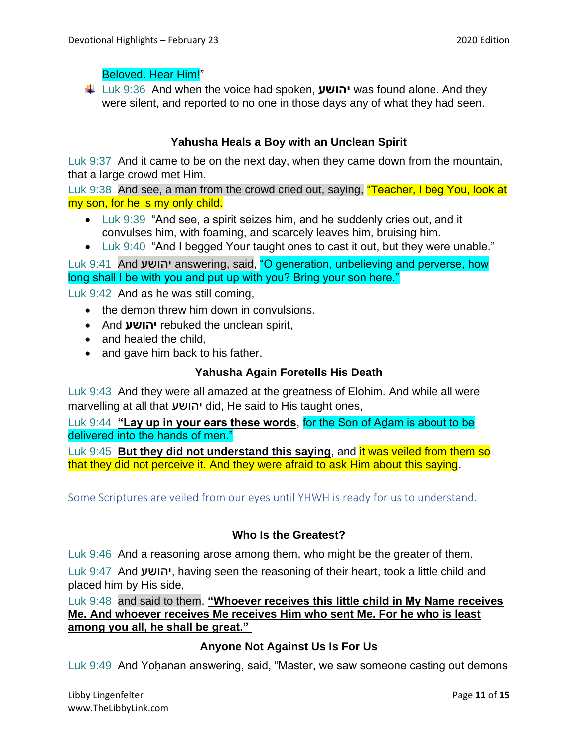## Beloved. Hear Him!"

Luk 9:36 And when the voice had spoken, **יהושע** was found alone. And they were silent, and reported to no one in those days any of what they had seen.

## **Yahusha Heals a Boy with an Unclean Spirit**

Luk 9:37 And it came to be on the next day, when they came down from the mountain, that a large crowd met Him.

Luk 9:38 And see, a man from the crowd cried out, saying, "Teacher, I beg You, look at my son, for he is my only child.

- Luk 9:39 "And see, a spirit seizes him, and he suddenly cries out, and it convulses him, with foaming, and scarcely leaves him, bruising him.
- Luk 9:40 "And I begged Your taught ones to cast it out, but they were unable."

Luk 9:41 And יהושע answering, said, "O generation, unbelieving and perverse, how long shall I be with you and put up with you? Bring your son here."

Luk 9:42 And as he was still coming,

- the demon threw him down in convulsions.
- And **יהושע** rebuked the unclean spirit,
- and healed the child.
- and gave him back to his father.

#### **Yahusha Again Foretells His Death**

Luk 9:43 And they were all amazed at the greatness of Elohim. And while all were marvelling at all that יהושע did, He said to His taught ones,

Luk 9:44 **"Lay up in your ears these words**, for the Son of Aḏam is about to be delivered into the hands of men."

Luk 9:45 **But they did not understand this saying**, and it was veiled from them so that they did not perceive it. And they were afraid to ask Him about this saying.

Some Scriptures are veiled from our eyes until YHWH is ready for us to understand.

### **Who Is the Greatest?**

Luk 9:46 And a reasoning arose among them, who might be the greater of them.

Luk 9:47 And יהושע, having seen the reasoning of their heart, took a little child and placed him by His side,

Luk 9:48 and said to them, **"Whoever receives this little child in My Name receives Me. And whoever receives Me receives Him who sent Me. For he who is least among you all, he shall be great."**

### **Anyone Not Against Us Is For Us**

Luk 9:49 And Yohanan answering, said, "Master, we saw someone casting out demons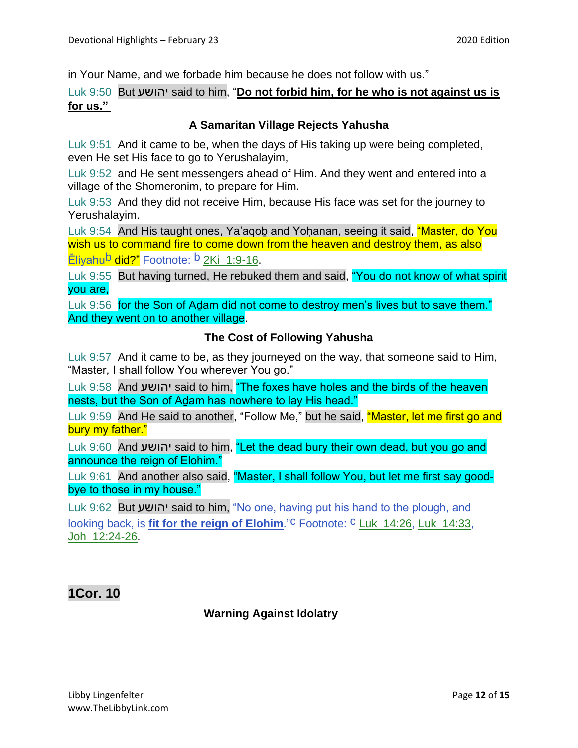in Your Name, and we forbade him because he does not follow with us."

#### Luk 9:50 But יהושע said to him, "**Do not forbid him, for he who is not against us is for us."**

#### **A Samaritan Village Rejects Yahusha**

Luk 9:51 And it came to be, when the days of His taking up were being completed, even He set His face to go to Yerushalayim,

Luk 9:52 and He sent messengers ahead of Him. And they went and entered into a village of the Shomeronim, to prepare for Him.

Luk 9:53 And they did not receive Him, because His face was set for the journey to Yerushalayim.

Luk 9:54 And His taught ones, Ya'agob and Yohanan, seeing it said, "Master, do You wish us to command fire to come down from the heaven and destroy them, as also Ěliyahu<sup>b</sup> did?" Footnote: <sup>b</sup> 2Ki\_1:9-16.

Luk 9:55 But having turned, He rebuked them and said, "You do not know of what spirit you are,

Luk 9:56 for the Son of Adam did not come to destroy men's lives but to save them." And they went on to another village.

#### **The Cost of Following Yahusha**

Luk 9:57 And it came to be, as they journeyed on the way, that someone said to Him, "Master, I shall follow You wherever You go."

Luk 9:58 And יהושע said to him, "The foxes have holes and the birds of the heaven nests, but the Son of Adam has nowhere to lay His head."

Luk 9:59 And He said to another, "Follow Me," but he said, "Master, let me first go and bury my father."

Luk 9:60 And יהושע said to him, "Let the dead bury their own dead, but you go and announce the reign of Elohim."

Luk 9:61 And another also said, "Master, I shall follow You, but let me first say goodbye to those in my house."

Luk 9:62 But יהושע said to him, "No one, having put his hand to the plough, and looking back, is **fit for the reign of Elohim**."<sup>C</sup> Footnote: <sup>C</sup> Luk\_14:26, Luk\_14:33, Joh\_12:24-26.

## **1Cor. 10**

#### **Warning Against Idolatry**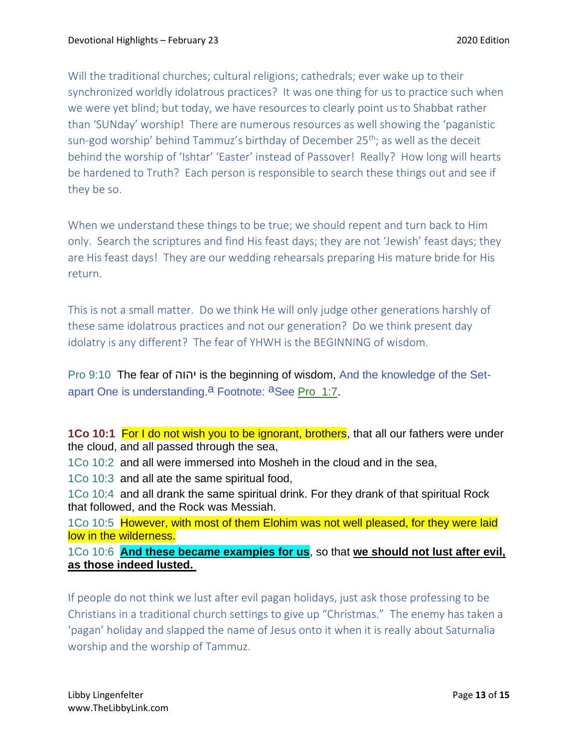Will the traditional churches; cultural religions; cathedrals; ever wake up to their synchronized worldly idolatrous practices? It was one thing for us to practice such when we were yet blind; but today, we have resources to clearly point us to Shabbat rather than 'SUNday' worship! There are numerous resources as well showing the 'paganistic sun-god worship' behind Tammuz's birthday of December  $25<sup>th</sup>$ ; as well as the deceit behind the worship of 'Ishtar' 'Easter' instead of Passover! Really? How long will hearts be hardened to Truth? Each person is responsible to search these things out and see if they be so.

When we understand these things to be true; we should repent and turn back to Him only. Search the scriptures and find His feast days; they are not 'Jewish' feast days; they are His feast days! They are our wedding rehearsals preparing His mature bride for His return.

This is not a small matter. Do we think He will only judge other generations harshly of these same idolatrous practices and not our generation? Do we think present day idolatry is any different? The fear of YHWH is the BEGINNING of wisdom.

Pro 9:10 The fear of יהוה is the beginning of wisdom, And the knowledge of the Setapart One is understanding.<sup>a</sup> Footnote: <sup>a</sup>See Pro\_1:7.

**1Co 10:1** For I do not wish you to be ignorant, brothers, that all our fathers were under the cloud, and all passed through the sea,

1Co 10:2 and all were immersed into Mosheh in the cloud and in the sea,

1Co 10:3 and all ate the same spiritual food,

1Co 10:4 and all drank the same spiritual drink. For they drank of that spiritual Rock that followed, and the Rock was Messiah.

1Co 10:5 However, with most of them Elohim was not well pleased, for they were laid low in the wilderness.

1Co 10:6 **And these became examples for us**, so that **we should not lust after evil, as those indeed lusted.**

If people do not think we lust after evil pagan holidays, just ask those professing to be Christians in a traditional church settings to give up "Christmas." The enemy has taken a 'pagan' holiday and slapped the name of Jesus onto it when it is really about Saturnalia worship and the worship of Tammuz.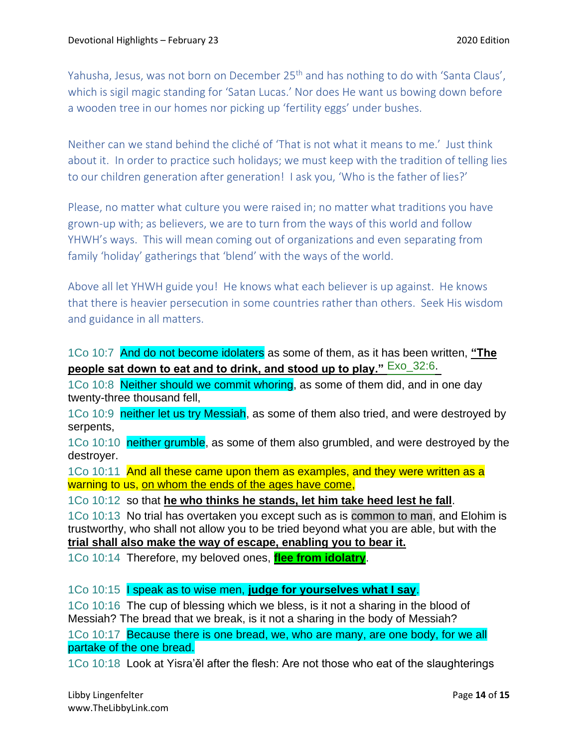Yahusha, Jesus, was not born on December 25<sup>th</sup> and has nothing to do with 'Santa Claus', which is sigil magic standing for 'Satan Lucas.' Nor does He want us bowing down before a wooden tree in our homes nor picking up 'fertility eggs' under bushes.

Neither can we stand behind the cliché of 'That is not what it means to me.' Just think about it. In order to practice such holidays; we must keep with the tradition of telling lies to our children generation after generation! I ask you, 'Who is the father of lies?'

Please, no matter what culture you were raised in; no matter what traditions you have grown-up with; as believers, we are to turn from the ways of this world and follow YHWH's ways. This will mean coming out of organizations and even separating from family 'holiday' gatherings that 'blend' with the ways of the world.

Above all let YHWH guide you! He knows what each believer is up against. He knows that there is heavier persecution in some countries rather than others. Seek His wisdom and guidance in all matters.

1Co 10:7 And do not become idolaters as some of them, as it has been written, **"The people sat down to eat and to drink, and stood up to play."** Exo\_32:6.

1Co 10:8 Neither should we commit whoring, as some of them did, and in one day twenty-three thousand fell,

1Co 10:9 neither let us try Messiah, as some of them also tried, and were destroyed by serpents,

1Co 10:10 neither grumble, as some of them also grumbled, and were destroyed by the destroyer.

1Co 10:11 And all these came upon them as examples, and they were written as a warning to us, on whom the ends of the ages have come,

1Co 10:12 so that **he who thinks he stands, let him take heed lest he fall**.

1Co 10:13 No trial has overtaken you except such as is common to man, and Elohim is trustworthy, who shall not allow you to be tried beyond what you are able, but with the **trial shall also make the way of escape, enabling you to bear it.**

1Co 10:14 Therefore, my beloved ones, **flee from idolatry**.

1Co 10:15 I speak as to wise men, **judge for yourselves what I say**.

1Co 10:16 The cup of blessing which we bless, is it not a sharing in the blood of Messiah? The bread that we break, is it not a sharing in the body of Messiah?

1Co 10:17 Because there is one bread, we, who are many, are one body, for we all partake of the one bread.

1Co 10:18 Look at Yisra'ěl after the flesh: Are not those who eat of the slaughterings